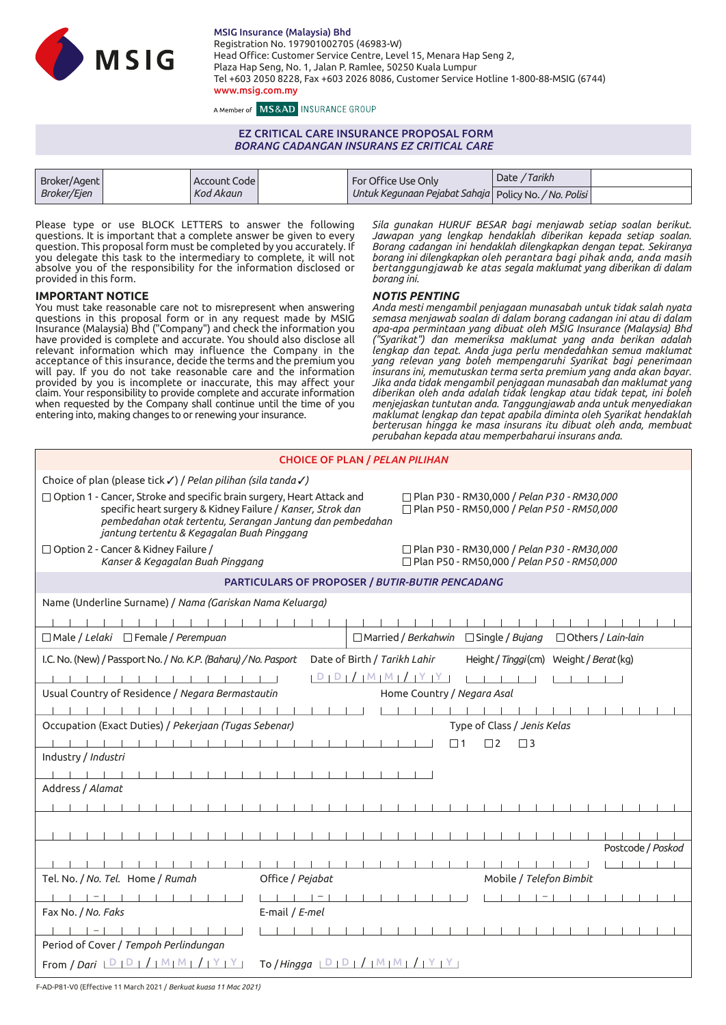

MSIG Insurance (Malaysia) Bhd Registration No. 197901002705 (46983-W) Head Office: Customer Service Centre, Level 15, Menara Hap Seng 2, Plaza Hap Seng, No. 1, Jalan P. Ramlee, 50250 Kuala Lumpur Tel +603 2050 8228, Fax +603 2026 8086, Customer Service Hotline 1-800-88-MSIG (6744) www.msig.com.my

A Member of MS&AD INSURANCE GROUP

# EZ CRITICAL CARE INSURANCE PROPOSAL FORM *BORANG CADANGAN INSURANS EZ CRITICAL CARE*

| Broker/Agent | Account Code | For Office Use Only                                     | Date / Tarikh |  |
|--------------|--------------|---------------------------------------------------------|---------------|--|
| Broker/Ejen  | Kod Akaun    | Untuk Kegunaan Pejabat Sahaja   Policy No. / No. Polisi |               |  |

Please type or use BLOCK LETTERS to answer the following questions. It is important that a complete answer be given to every question. This proposal form must be completed by you accurately. If you delegate this task to the intermediary to complete, it will not absolve you of the responsibility for the information disclosed or provided in this form.

### **IMPORTANT NOTICE**

You must take reasonable care not to misrepresent when answering questions in this proposal form or in any request made by MSIG Insurance (Malaysia) Bhd ("Company") and check the information you have provided is complete and accurate. You should also disclose all relevant information which may influence the Company in the acceptance of this insurance, decide the terms and the premium you will pay. If you do not take reasonable care and the information provided by you is incomplete or inaccurate, this may affect your claim. Your responsibility to provide complete and accurate information when requested by the Company shall continue until the time of you entering into, making changes to or renewing your insurance.

*Sila gunakan HURUF BESAR bagi menjawab setiap soalan berikut. Jawapan yang lengkap hendaklah diberikan kepada setiap soalan. Borang cadangan ini hendaklah dilengkapkan dengan tepat. Sekiranya borang ini dilengkapkan oleh perantara bagi pihak anda, anda masih bertanggungjawab ke atas segala maklumat yang diberikan di dalam borang ini.*

#### *NOTIS PENTING*

*Anda mesti mengambil penjagaan munasabah untuk tidak salah nyata semasa menjawab soalan di dalam borang cadangan ini atau di dalam apa-apa permintaan yang dibuat oleh MSIG Insurance (Malaysia) Bhd ("Syarikat") dan memeriksa maklumat yang anda berikan adalah lengkap dan tepat. Anda juga perlu mendedahkan semua maklumat yang relevan yang boleh mempengaruhi Syarikat bagi penerimaan insurans ini, memutuskan terma serta premium yang anda akan bayar. Jika anda tidak mengambil penjagaan munasabah dan maklumat yang diberikan oleh anda adalah tidak lengkap atau tidak tepat, ini boleh menjejaskan tuntutan anda. Tanggungjawab anda untuk menyediakan maklumat lengkap dan tepat apabila diminta oleh Syarikat hendaklah berterusan hingga ke masa insurans itu dibuat oleh anda, membuat perubahan kepada atau memperbaharui insurans anda.*

| <b>CHOICE OF PLAN / PELAN PILIHAN</b>                                                                                                                                                                                                                                                                                                                   |  |  |  |  |  |  |  |  |  |
|---------------------------------------------------------------------------------------------------------------------------------------------------------------------------------------------------------------------------------------------------------------------------------------------------------------------------------------------------------|--|--|--|--|--|--|--|--|--|
| Choice of plan (please tick √) / Pelan pilihan (sila tanda √)                                                                                                                                                                                                                                                                                           |  |  |  |  |  |  |  |  |  |
| □ Plan P30 - RM30,000 / Pelan P30 - RM30,000<br>$\Box$ Option 1 - Cancer, Stroke and specific brain surgery, Heart Attack and<br>specific heart surgery & Kidney Failure / Kanser, Strok dan<br>□ Plan P50 - RM50,000 / Pelan P50 - RM50,000<br>pembedahan otak tertentu, Serangan Jantung dan pembedahan<br>jantung tertentu & Kegagalan Buah Pinggang |  |  |  |  |  |  |  |  |  |
| $\Box$ Option 2 - Cancer & Kidney Failure /<br>$\Box$ Plan P30 - RM30,000 / Pelan P30 - RM30,000<br>□ Plan P50 - RM50,000 / Pelan P50 - RM50,000<br>Kanser & Kegagalan Buah Pinggang                                                                                                                                                                    |  |  |  |  |  |  |  |  |  |
| PARTICULARS OF PROPOSER / BUTIR-BUTIR PENCADANG                                                                                                                                                                                                                                                                                                         |  |  |  |  |  |  |  |  |  |
| Name (Underline Surname) / Nama (Gariskan Nama Keluarga)                                                                                                                                                                                                                                                                                                |  |  |  |  |  |  |  |  |  |
|                                                                                                                                                                                                                                                                                                                                                         |  |  |  |  |  |  |  |  |  |
| □ Male / Lelaki □ Female / Perempuan<br>$\Box$ Married / Berkahwin<br>$\Box$ Single / Bujang<br>$\Box$ Others / Lain-lain                                                                                                                                                                                                                               |  |  |  |  |  |  |  |  |  |
| I.C. No. (New) / Passport No. / No. K.P. (Baharu) / No. Pasport<br>Date of Birth / Tarikh Lahir<br>Height / Tinggi (cm) Weight / Berat (kg)                                                                                                                                                                                                             |  |  |  |  |  |  |  |  |  |
| $ D D $ / $ M M $ / $ Y Y $                                                                                                                                                                                                                                                                                                                             |  |  |  |  |  |  |  |  |  |
| Usual Country of Residence / Negara Bermastautin<br>Home Country / Negara Asal                                                                                                                                                                                                                                                                          |  |  |  |  |  |  |  |  |  |
|                                                                                                                                                                                                                                                                                                                                                         |  |  |  |  |  |  |  |  |  |
| Occupation (Exact Duties) / Pekerjaan (Tugas Sebenar)<br>Type of Class / Jenis Kelas                                                                                                                                                                                                                                                                    |  |  |  |  |  |  |  |  |  |
| $\Box$ 1<br>$\Box$ 2<br>$\Box$ 3                                                                                                                                                                                                                                                                                                                        |  |  |  |  |  |  |  |  |  |
| Industry / Industri                                                                                                                                                                                                                                                                                                                                     |  |  |  |  |  |  |  |  |  |
|                                                                                                                                                                                                                                                                                                                                                         |  |  |  |  |  |  |  |  |  |
| Address / Alamat                                                                                                                                                                                                                                                                                                                                        |  |  |  |  |  |  |  |  |  |
|                                                                                                                                                                                                                                                                                                                                                         |  |  |  |  |  |  |  |  |  |
| Postcode / Poskod                                                                                                                                                                                                                                                                                                                                       |  |  |  |  |  |  |  |  |  |
|                                                                                                                                                                                                                                                                                                                                                         |  |  |  |  |  |  |  |  |  |
| Tel. No. / No. Tel. Home / Rumah<br>Office / Pejabat<br>Mobile / Telefon Bimbit                                                                                                                                                                                                                                                                         |  |  |  |  |  |  |  |  |  |
|                                                                                                                                                                                                                                                                                                                                                         |  |  |  |  |  |  |  |  |  |
| Fax No. / No. Faks<br>E-mail / E-mel                                                                                                                                                                                                                                                                                                                    |  |  |  |  |  |  |  |  |  |
|                                                                                                                                                                                                                                                                                                                                                         |  |  |  |  |  |  |  |  |  |
| Period of Cover / Tempoh Perlindungan                                                                                                                                                                                                                                                                                                                   |  |  |  |  |  |  |  |  |  |
| From / Dari $\lfloor D \rfloor D \rfloor /  M M  /  Y $ Y<br>To / Hingga $\lfloor D \rfloor D + / \lfloor M \rfloor M + / \lfloor Y \rfloor Y$                                                                                                                                                                                                          |  |  |  |  |  |  |  |  |  |

F-AD-P81-V0 (Effective 11 March 2021 / *Berkuat kuasa 11 Mac 2021)*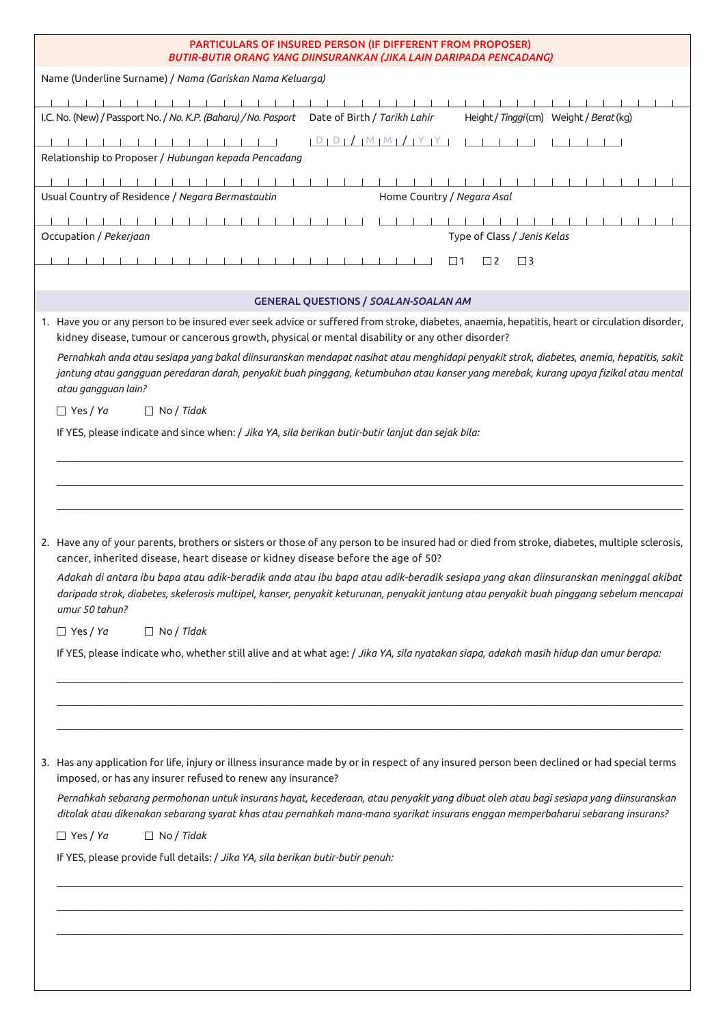| PARTICULARS OF INSURED PERSON (IF DIFFERENT FROM PROPOSER)<br>BUTIR-BUTIR ORANG YANG DIINSURANKAN (JIKA LAIN DARIPADA PENCADANG)                                                                                                                                                                                                                                                                                                                                                                                                    |  |  |  |  |  |  |  |  |  |  |
|-------------------------------------------------------------------------------------------------------------------------------------------------------------------------------------------------------------------------------------------------------------------------------------------------------------------------------------------------------------------------------------------------------------------------------------------------------------------------------------------------------------------------------------|--|--|--|--|--|--|--|--|--|--|
| Name (Underline Surname) / Nama (Gariskan Nama Keluarga)                                                                                                                                                                                                                                                                                                                                                                                                                                                                            |  |  |  |  |  |  |  |  |  |  |
|                                                                                                                                                                                                                                                                                                                                                                                                                                                                                                                                     |  |  |  |  |  |  |  |  |  |  |
| I.C. No. (New) / Passport No. / No. K.P. (Baharu) / No. Pasport<br>Date of Birth / Tarikh Lahir<br>Height / Tinggi (cm) Weight / Berat (kg)                                                                                                                                                                                                                                                                                                                                                                                         |  |  |  |  |  |  |  |  |  |  |
| $[D   D   /   M   M   /   Y   Y$<br>Relationship to Proposer / Hubungan kepada Pencadang                                                                                                                                                                                                                                                                                                                                                                                                                                            |  |  |  |  |  |  |  |  |  |  |
|                                                                                                                                                                                                                                                                                                                                                                                                                                                                                                                                     |  |  |  |  |  |  |  |  |  |  |
| Home Country / Negara Asal<br>Usual Country of Residence / Negara Bermastautin                                                                                                                                                                                                                                                                                                                                                                                                                                                      |  |  |  |  |  |  |  |  |  |  |
|                                                                                                                                                                                                                                                                                                                                                                                                                                                                                                                                     |  |  |  |  |  |  |  |  |  |  |
| Occupation / Pekerjaan<br>Type of Class / Jenis Kelas                                                                                                                                                                                                                                                                                                                                                                                                                                                                               |  |  |  |  |  |  |  |  |  |  |
| $\Box$ 1<br>$\Box$ 2<br>$\Box$ 3                                                                                                                                                                                                                                                                                                                                                                                                                                                                                                    |  |  |  |  |  |  |  |  |  |  |
| <b>GENERAL QUESTIONS / SOALAN-SOALAN AM</b>                                                                                                                                                                                                                                                                                                                                                                                                                                                                                         |  |  |  |  |  |  |  |  |  |  |
| 1. Have you or any person to be insured ever seek advice or suffered from stroke, diabetes, anaemia, hepatitis, heart or circulation disorder,                                                                                                                                                                                                                                                                                                                                                                                      |  |  |  |  |  |  |  |  |  |  |
| kidney disease, tumour or cancerous growth, physical or mental disability or any other disorder?                                                                                                                                                                                                                                                                                                                                                                                                                                    |  |  |  |  |  |  |  |  |  |  |
| Pernahkah anda atau sesiapa yang bakal diinsuranskan mendapat nasihat atau menghidapi penyakit strok, diabetes, anemia, hepatitis, sakit<br>jantung atau gangguan peredaran darah, penyakit buah pinggang, ketumbuhan atau kanser yang merebak, kurang upaya fizikal atau mental<br>atau gangguan lain?                                                                                                                                                                                                                             |  |  |  |  |  |  |  |  |  |  |
| $\Box$ Yes / Ya<br>$\Box$ No / Tidak                                                                                                                                                                                                                                                                                                                                                                                                                                                                                                |  |  |  |  |  |  |  |  |  |  |
| If YES, please indicate and since when: / Jika YA, sila berikan butir-butir lanjut dan sejak bila:                                                                                                                                                                                                                                                                                                                                                                                                                                  |  |  |  |  |  |  |  |  |  |  |
|                                                                                                                                                                                                                                                                                                                                                                                                                                                                                                                                     |  |  |  |  |  |  |  |  |  |  |
|                                                                                                                                                                                                                                                                                                                                                                                                                                                                                                                                     |  |  |  |  |  |  |  |  |  |  |
|                                                                                                                                                                                                                                                                                                                                                                                                                                                                                                                                     |  |  |  |  |  |  |  |  |  |  |
| 2. Have any of your parents, brothers or sisters or those of any person to be insured had or died from stroke, diabetes, multiple sclerosis,<br>cancer, inherited disease, heart disease or kidney disease before the age of 50?<br>Adakah di antara ibu bapa atau adik-beradik anda atau ibu bapa atau adik-beradik sesiapa yang akan diinsuranskan meninggal akibat<br>daripada strok, diabetes, skelerosis multipel, kanser, penyakit keturunan, penyakit jantung atau penyakit buah pinggang sebelum mencapai<br>umur 50 tahun? |  |  |  |  |  |  |  |  |  |  |
| $\Box$ Yes / Ya<br>$\Box$ No / Tidak                                                                                                                                                                                                                                                                                                                                                                                                                                                                                                |  |  |  |  |  |  |  |  |  |  |
| If YES, please indicate who, whether still alive and at what age: / Jika YA, sila nyatakan siapa, adakah masih hidup dan umur berapa:                                                                                                                                                                                                                                                                                                                                                                                               |  |  |  |  |  |  |  |  |  |  |
|                                                                                                                                                                                                                                                                                                                                                                                                                                                                                                                                     |  |  |  |  |  |  |  |  |  |  |
|                                                                                                                                                                                                                                                                                                                                                                                                                                                                                                                                     |  |  |  |  |  |  |  |  |  |  |
|                                                                                                                                                                                                                                                                                                                                                                                                                                                                                                                                     |  |  |  |  |  |  |  |  |  |  |
| 3. Has any application for life, injury or illness insurance made by or in respect of any insured person been declined or had special terms<br>imposed, or has any insurer refused to renew any insurance?                                                                                                                                                                                                                                                                                                                          |  |  |  |  |  |  |  |  |  |  |
| Pernahkah sebarang permohonan untuk insurans hayat, kecederaan, atau penyakit yang dibuat oleh atau bagi sesiapa yang diinsuranskan<br>ditolak atau dikenakan sebarang syarat khas atau pernahkah mana-mana syarikat insurans enggan memperbaharui sebarang insurans?                                                                                                                                                                                                                                                               |  |  |  |  |  |  |  |  |  |  |
| $\Box$ Yes / Ya<br>$\Box$ No / Tidak                                                                                                                                                                                                                                                                                                                                                                                                                                                                                                |  |  |  |  |  |  |  |  |  |  |
| If YES, please provide full details: / Jika YA, sila berikan butir-butir penuh:                                                                                                                                                                                                                                                                                                                                                                                                                                                     |  |  |  |  |  |  |  |  |  |  |
|                                                                                                                                                                                                                                                                                                                                                                                                                                                                                                                                     |  |  |  |  |  |  |  |  |  |  |
|                                                                                                                                                                                                                                                                                                                                                                                                                                                                                                                                     |  |  |  |  |  |  |  |  |  |  |
|                                                                                                                                                                                                                                                                                                                                                                                                                                                                                                                                     |  |  |  |  |  |  |  |  |  |  |
|                                                                                                                                                                                                                                                                                                                                                                                                                                                                                                                                     |  |  |  |  |  |  |  |  |  |  |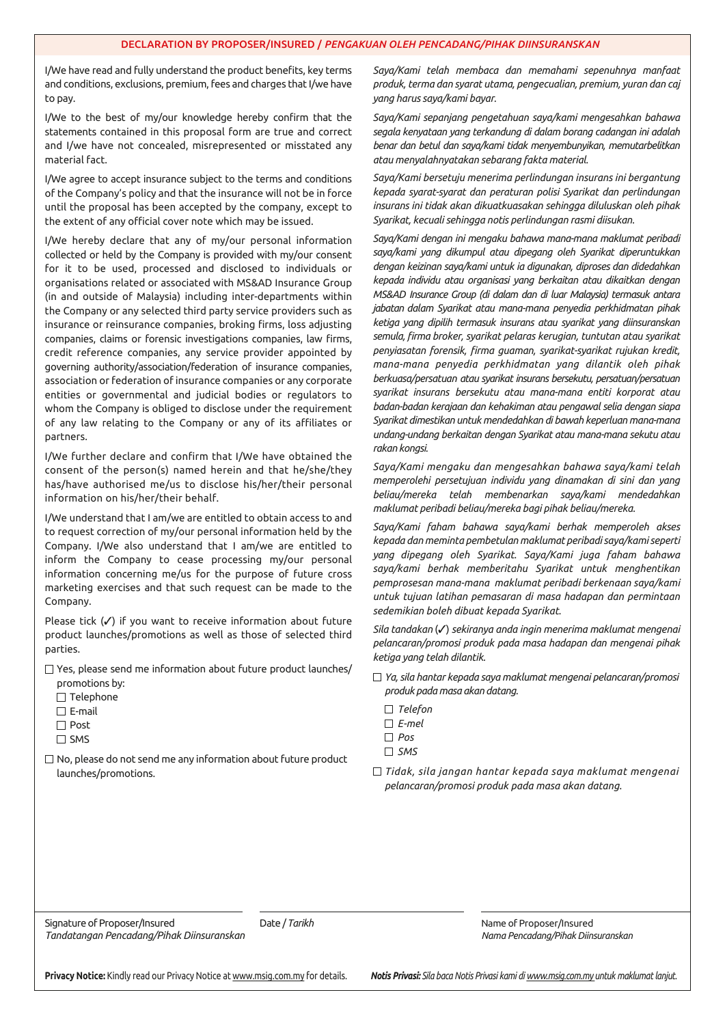I/We have read and fully understand the product benefits, key terms and conditions, exclusions, premium, fees and charges that I/we have to pay.

I/We to the best of my/our knowledge hereby confirm that the statements contained in this proposal form are true and correct and I/we have not concealed, misrepresented or misstated any material fact.

I/We agree to accept insurance subject to the terms and conditions of the Company's policy and that the insurance will not be in force until the proposal has been accepted by the company, except to the extent of any official cover note which may be issued.

I/We hereby declare that any of my/our personal information collected or held by the Company is provided with my/our consent for it to be used, processed and disclosed to individuals or organisations related or associated with MS&AD Insurance Group (in and outside of Malaysia) including inter-departments within the Company or any selected third party service providers such as insurance or reinsurance companies, broking firms, loss adjusting companies, claims or forensic investigations companies, law firms, credit reference companies, any service provider appointed by governing authority/association/federation of insurance companies, association or federation of insurance companies or any corporate entities or governmental and judicial bodies or regulators to whom the Company is obliged to disclose under the requirement of any law relating to the Company or any of its affiliates or partners.

I/We further declare and confirm that I/We have obtained the consent of the person(s) named herein and that he/she/they has/have authorised me/us to disclose his/her/their personal information on his/her/their behalf.

I/We understand that I am/we are entitled to obtain access to and to request correction of my/our personal information held by the Company. I/We also understand that I am/we are entitled to inform the Company to cease processing my/our personal information concerning me/us for the purpose of future cross marketing exercises and that such request can be made to the Company.

Please tick (√) if you want to receive information about future product launches/promotions as well as those of selected third parties.

□ Yes, please send me information about future product launches/

promotions by:

- $\Box$  Telephone
- $\square$  E-mail
- □ Post
- $\Box$  SMS
- $\Box$  No, please do not send me any information about future product launches/promotions.

*Saya/Kami telah membaca dan memahami sepenuhnya manfaat produk, terma dan syarat utama, pengecualian, premium, yuran dan caj yang harus saya/kami bayar.*

*Saya/Kami sepanjang pengetahuan saya/kami mengesahkan bahawa segala kenyataan yang terkandung di dalam borang cadangan ini adalah benar dan betul dan saya/kami tidak menyembunyikan, memutarbelitkan atau menyalahnyatakan sebarang fakta material.*

*Saya/Kami bersetuju menerima perlindungan insurans ini bergantung kepada syarat-syarat dan peraturan polisi Syarikat dan perlindungan insurans ini tidak akan dikuatkuasakan sehingga diluluskan oleh pihak Syarikat, kecuali sehingga notis perlindungan rasmi diisukan.*

*Saya/Kami dengan ini mengaku bahawa mana-mana maklumat peribadi saya/kami yang dikumpul atau dipegang oleh Syarikat diperuntukkan dengan keizinan saya/kami untuk ia digunakan, diproses dan didedahkan kepada individu atau organisasi yang berkaitan atau dikaitkan dengan MS&AD Insurance Group (di dalam dan di luar Malaysia) termasuk antara jabatan dalam Syarikat atau mana-mana penyedia perkhidmatan pihak ketiga yang dipilih termasuk insurans atau syarikat yang diinsuranskan semula, firma broker, syarikat pelaras kerugian, tuntutan atau syarikat penyiasatan forensik, firma guaman, syarikat-syarikat rujukan kredit, mana-mana penyedia perkhidmatan yang dilantik oleh pihak berkuasa/persatuan atau syarikat insurans bersekutu, persatuan/persatuan syarikat insurans bersekutu atau mana-mana entiti korporat atau badan-badan kerajaan dan kehakiman atau pengawal selia dengan siapa Syarikat dimestikan untuk mendedahkan di bawah keperluan mana-mana undang-undang berkaitan dengan Syarikat atau mana-mana sekutu atau rakan kongsi.* 

*Saya/Kami mengaku dan mengesahkan bahawa saya/kami telah memperolehi persetujuan individu yang dinamakan di sini dan yang beliau/mereka telah membenarkan saya/kami mendedahkan maklumat peribadi beliau/mereka bagi pihak beliau/mereka.* 

*Saya/Kami faham bahawa saya/kami berhak memperoleh akses kepada dan meminta pembetulan maklumat peribadi saya/kami seperti yang dipegang oleh Syarikat. Saya/Kami juga faham bahawa saya/kami berhak memberitahu Syarikat untuk menghentikan pemprosesan mana-mana maklumat peribadi berkenaan saya/kami untuk tujuan latihan pemasaran di masa hadapan dan permintaan sedemikian boleh dibuat kepada Syarikat.*

*Sila tandakan* (✓) *sekiranya anda ingin menerima maklumat mengenai pelancaran/promosi produk pada masa hadapan dan mengenai pihak ketiga yang telah dilantik.* 

- *Ya, sila hantar kepada saya maklumat mengenai pelancaran/promosi produk pada masa akan datang.*
	- *Telefon*
	- *E-mel*
	- *Pos*
	- *SMS*
- *Tidak, sila jangan hantar kepada saya maklumat mengenai pelancaran/promosi produk pada masa akan datang.*

Signature of Proposer/Insured **Date /** Date / *Tarikh* Name of Proposer/Insured Date in Date / *Tarikh* Name of Proposer/Insured *Tandatangan Pencadang/Pihak Diinsuranskan Nama Pencadang/Pihak Diinsuranskan*

**Privacy Notice:** Kindly read our Privacy Notice at www.msig.com.my for details. *Notis Privasi: Sila baca Notis Privasi kami di www.msig.com.my untuk maklumat lanjut.*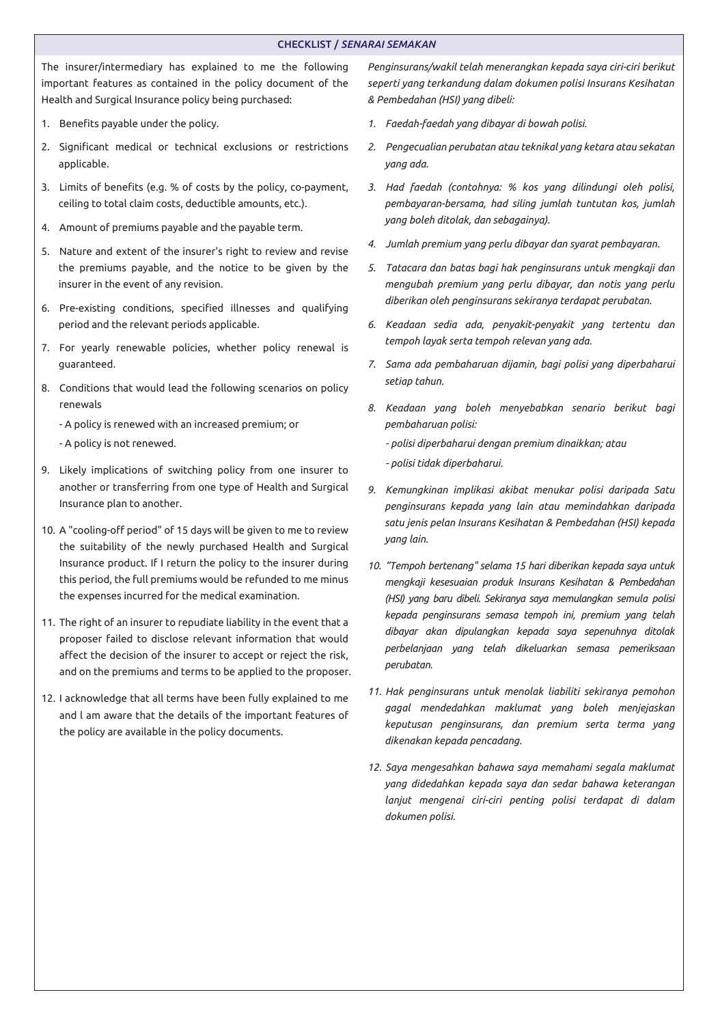## CHECKLIST / *SENARAI SEMAKAN*

The insurer/intermediary has explained to me the following important features as contained in the policy document of the Health and Surgical Insurance policy being purchased:

- 1. Benefits payable under the policy.
- 2. Significant medical or technical exclusions or restrictions applicable.
- 3. Limits of benefits (e.g. % of costs by the policy, co-payment, ceiling to total claim costs, deductible amounts, etc.).
- 4. Amount of premiums payable and the payable term.
- 5. Nature and extent of the insurer's right to review and revise the premiums payable, and the notice to be given by the insurer in the event of any revision.
- 6. Pre-existing conditions, specified illnesses and qualifying period and the relevant periods applicable.
- 7. For yearly renewable policies, whether policy renewal is guaranteed.
- 8. Conditions that would lead the following scenarios on policy renewals

- A policy is renewed with an increased premium; or

- A policy is not renewed.

- 9. Likely implications of switching policy from one insurer to another or transferring from one type of Health and Surgical Insurance plan to another.
- 10. A "cooling-off period" of 15 days will be given to me to review the suitability of the newly purchased Health and Surgical Insurance product. If I return the policy to the insurer during this period, the full premiums would be refunded to me minus the expenses incurred for the medical examination.
- 11. The right of an insurer to repudiate liability in the event that a proposer failed to disclose relevant information that would affect the decision of the insurer to accept or reject the risk, and on the premiums and terms to be applied to the proposer.
- 12. I acknowledge that all terms have been fully explained to me and l am aware that the details of the important features of the policy are available in the policy documents.

*Penginsurans/wakil telah menerangkan kepada saya ciri-ciri berikut seperti yang terkandung dalam dokumen polisi Insurans Kesihatan & Pembedahan (HSI) yang dibeli:*

- *1. Faedah-faedah yang dibayar di bowah polisi.*
- *2. Pengecualian perubatan atau teknikal yang ketara atau sekatan yang ada.*
- *3. Had faedah (contohnya: % kos yang dilindungi oleh polisi, pembayaran-bersama, had siling jumlah tuntutan kos, jumlah yang boleh ditolak, dan sebagainya).*
- *4. Jumlah premium yang perlu dibayar dan syarat pembayaran.*
- *5. Tatacara dan batas bagi hak penginsurans untuk mengkaji dan mengubah premium yang perlu dibayar, dan notis yang perlu diberikan oleh penginsurans sekiranya terdapat perubatan.*
- *6. Keadaan sedia ada, penyakit-penyakit yang tertentu dan tempoh layak serta tempoh relevan yang ada.*
- *7. Sama ada pembaharuan dijamin, bagi polisi yang diperbaharui setiap tahun.*
- *8. Keadaan yang boleh menyebabkan senario berikut bagi pembaharuan polisi:*
	- *polisi diperbaharui dengan premium dinaikkan; atau*
	- *polisi tidak diperbaharui.*
- *9. Kemungkinan implikasi akibat menukar polisi daripada Satu penginsurans kepada yang lain atau memindahkan daripada satu jenis pelan Insurans Kesihatan & Pembedahan (HSI) kepada yang lain.*
- *10. "Tempoh bertenang" selama 15 hari diberikan kepada saya untuk mengkaji kesesuaian produk Insurans Kesihatan & Pembedahan (HSI) yang baru dibeli. Sekiranya saya memulangkan semula polisi kepada penginsurans semasa tempoh ini, premium yang telah dibayar akan dipulangkan kepada saya sepenuhnya ditolak perbelanjaan yang telah dikeluarkan semasa pemeriksaan perubatan.*
- *11. Hak penginsurans untuk menolak liabiliti sekiranya pemohon gagal mendedahkan maklumat yang boleh menjejaskan keputusan penginsurans, dan premium serta terma yang dikenakan kepada pencadang.*
- *12. Saya mengesahkan bahawa saya memahami segala maklumat yang didedahkan kepada saya dan sedar bahawa keterangan lanjut mengenai ciri-ciri penting polisi terdapat di dalam dokumen polisi.*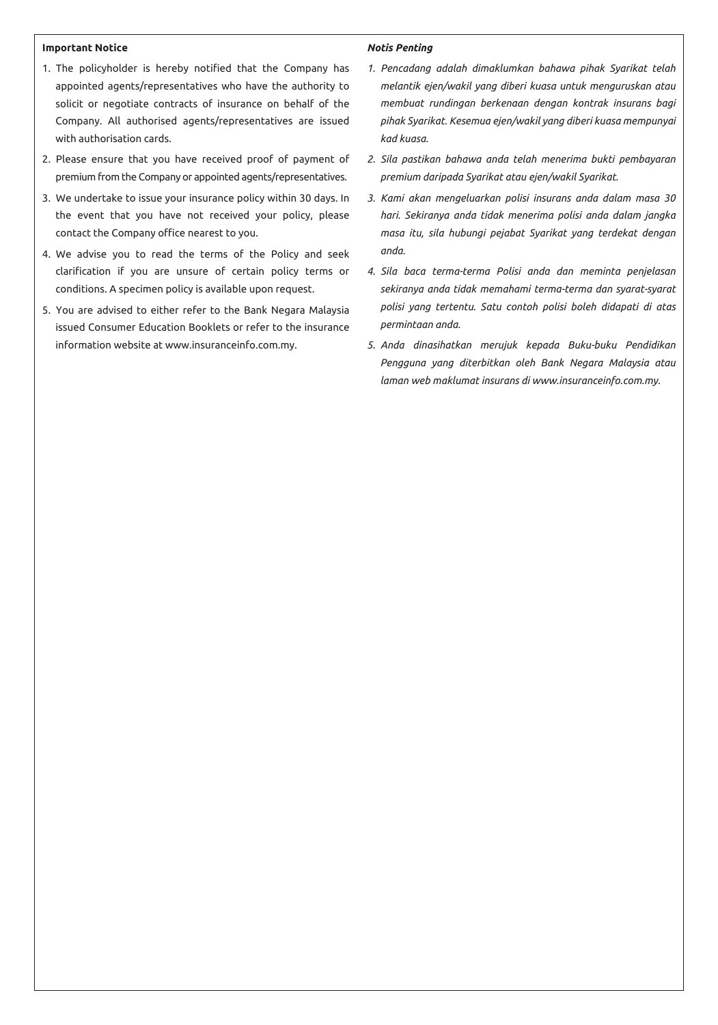## **Important Notice**

- 1. The policyholder is hereby notified that the Company has appointed agents/representatives who have the authority to solicit or negotiate contracts of insurance on behalf of the Company. All authorised agents/representatives are issued with authorisation cards.
- 2. Please ensure that you have received proof of payment of premium from the Company or appointed agents/representatives.
- 3. We undertake to issue your insurance policy within 30 days. In the event that you have not received your policy, please contact the Company office nearest to you.
- 4. We advise you to read the terms of the Policy and seek clarification if you are unsure of certain policy terms or conditions. A specimen policy is available upon request.
- 5. You are advised to either refer to the Bank Negara Malaysia issued Consumer Education Booklets or refer to the insurance information website at www.insuranceinfo.com.my.

#### *Notis Penting*

- *1. Pencadang adalah dimaklumkan bahawa pihak Syarikat telah melantik ejen/wakil yang diberi kuasa untuk menguruskan atau membuat rundingan berkenaan dengan kontrak insurans bagi pihak Syarikat. Kesemua ejen/wakil yang diberi kuasa mempunyai kad kuasa.*
- *2. Sila pastikan bahawa anda telah menerima bukti pembayaran premium daripada Syarikat atau ejen/wakil Syarikat.*
- *3. Kami akan mengeluarkan polisi insurans anda dalam masa 30 hari. Sekiranya anda tidak menerima polisi anda dalam jangka masa itu, sila hubungi pejabat Syarikat yang terdekat dengan anda.*
- *4. Sila baca terma-terma Polisi anda dan meminta penjelasan sekiranya anda tidak memahami terma-terma dan syarat-syarat polisi yang tertentu. Satu contoh polisi boleh didapati di atas permintaan anda.*
- *5. Anda dinasihatkan merujuk kepada Buku-buku Pendidikan Pengguna yang diterbitkan oleh Bank Negara Malaysia atau laman web maklumat insurans di www.insuranceinfo.com.my.*